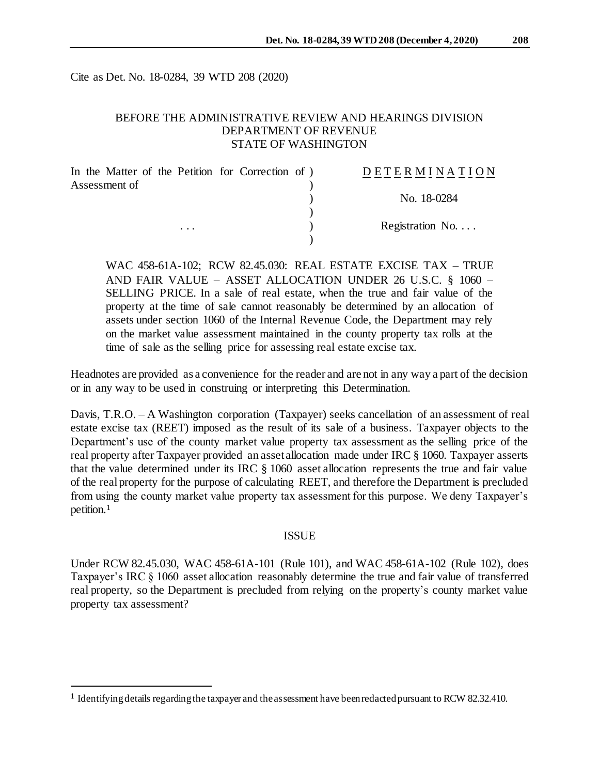Cite as Det. No. 18-0284, 39 WTD 208 (2020)

# BEFORE THE ADMINISTRATIVE REVIEW AND HEARINGS DIVISION DEPARTMENT OF REVENUE STATE OF WASHINGTON

| In the Matter of the Petition for Correction of ) |          |  | <b>DETERMINATION</b>     |
|---------------------------------------------------|----------|--|--------------------------|
| Assessment of                                     |          |  |                          |
|                                                   |          |  | No. 18-0284              |
|                                                   |          |  |                          |
|                                                   | $\cdots$ |  | Registration No. $\dots$ |
|                                                   |          |  |                          |

WAC 458-61A-102; RCW 82.45.030: REAL ESTATE EXCISE TAX – TRUE AND FAIR VALUE – ASSET ALLOCATION UNDER 26 U.S.C. § 1060 – SELLING PRICE. In a sale of real estate, when the true and fair value of the property at the time of sale cannot reasonably be determined by an allocation of assets under section 1060 of the Internal Revenue Code, the Department may rely on the market value assessment maintained in the county property tax rolls at the time of sale as the selling price for assessing real estate excise tax.

Headnotes are provided as a convenience for the reader and are not in any way a part of the decision or in any way to be used in construing or interpreting this Determination.

Davis, T.R.O. – A Washington corporation (Taxpayer) seeks cancellation of an assessment of real estate excise tax (REET) imposed as the result of its sale of a business. Taxpayer objects to the Department's use of the county market value property tax assessment as the selling price of the real property after Taxpayer provided an asset allocation made under IRC § 1060. Taxpayer asserts that the value determined under its IRC § 1060 asset allocation represents the true and fair value of the real property for the purpose of calculating REET, and therefore the Department is precluded from using the county market value property tax assessment for this purpose. We deny Taxpayer's petition.<sup>1</sup>

#### ISSUE

Under RCW 82.45.030, WAC 458-61A-101 (Rule 101), and WAC 458-61A-102 (Rule 102), does Taxpayer's IRC § 1060 asset allocation reasonably determine the true and fair value of transferred real property, so the Department is precluded from relying on the property's county market value property tax assessment?

l

<sup>&</sup>lt;sup>1</sup> Identifying details regarding the taxpayer and the assessment have been redacted pursuant to RCW 82.32.410.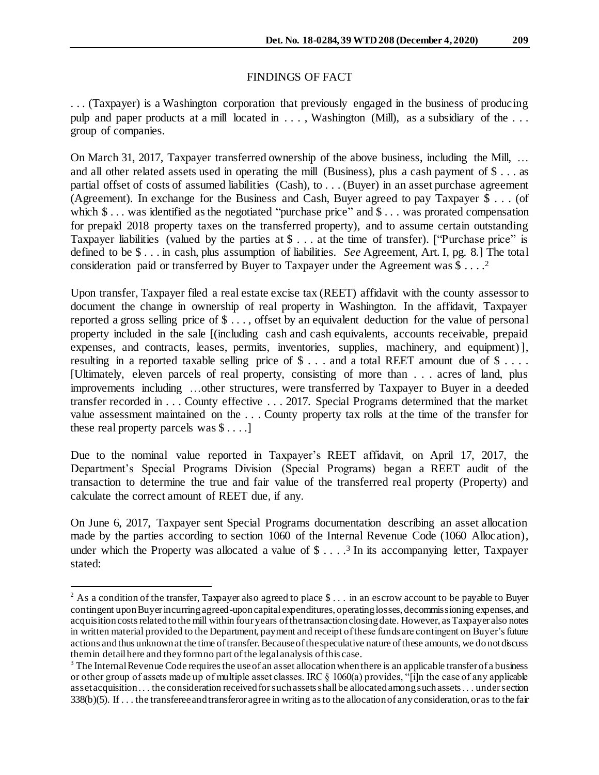### FINDINGS OF FACT

. . . (Taxpayer) is a Washington corporation that previously engaged in the business of producing pulp and paper products at a mill located in . . . , Washington (Mill), as a subsidiary of the . . . group of companies.

On March 31, 2017, Taxpayer transferred ownership of the above business, including the Mill, … and all other related assets used in operating the mill (Business), plus a cash payment of \$ . . . as partial offset of costs of assumed liabilities (Cash), to . . . (Buyer) in an asset purchase agreement (Agreement). In exchange for the Business and Cash, Buyer agreed to pay Taxpayer \$ . . . (of which  $\$\dots$  was identified as the negotiated "purchase price" and  $\$\dots$  was prorated compensation for prepaid 2018 property taxes on the transferred property), and to assume certain outstanding Taxpayer liabilities (valued by the parties at \$ . . . at the time of transfer). ["Purchase price" is defined to be \$ . . . in cash, plus assumption of liabilities. *See* Agreement, Art. I, pg. 8.] The total consideration paid or transferred by Buyer to Taxpayer under the Agreement was  $$...$ <sup>2</sup>

Upon transfer, Taxpayer filed a real estate excise tax (REET) affidavit with the county assessor to document the change in ownership of real property in Washington. In the affidavit, Taxpayer reported a gross selling price of \$ . . . , offset by an equivalent deduction for the value of personal property included in the sale [(including cash and cash equivalents, accounts receivable, prepaid expenses, and contracts, leases, permits, inventories, supplies, machinery, and equipment)], resulting in a reported taxable selling price of  $\$\ldots$  and a total REET amount due of  $\$\ldots$ . [Ultimately, eleven parcels of real property, consisting of more than . . . acres of land, plus improvements including …other structures, were transferred by Taxpayer to Buyer in a deeded transfer recorded in . . . County effective . . . 2017. Special Programs determined that the market value assessment maintained on the . . . County property tax rolls at the time of the transfer for these real property parcels was \$ . . . .]

Due to the nominal value reported in Taxpayer's REET affidavit, on April 17, 2017, the Department's Special Programs Division (Special Programs) began a REET audit of the transaction to determine the true and fair value of the transferred real property (Property) and calculate the correct amount of REET due, if any.

On June 6, 2017, Taxpayer sent Special Programs documentation describing an asset allocation made by the parties according to section 1060 of the Internal Revenue Code (1060 Allocation), under which the Property was allocated a value of  $\frac{1}{2}$  ...  $\frac{3}{3}$  In its accompanying letter, Taxpayer stated:

l

<sup>&</sup>lt;sup>2</sup> As a condition of the transfer, Taxpayer also agreed to place \$ . . . in an escrow account to be payable to Buyer contingent upon Buyer incurring agreed-uponcapital expenditures, operating losses, decommissioning expenses, and acquisition costs related to the mill within four years of the transaction closing date. However, as Taxpayer also notes in written material provided to the Department, payment and receipt of these funds are contingent on Buyer's future actions and thus unknown at the time of transfer. Because of the speculative nature of these amounts, we do not discuss them in detail here and they form no part of the legal analysis of this case.

 $3$  The Internal Revenue Code requires the use of an asset allocation when there is an applicable transfer of a business or other group of assets made up of multiple asset classes. IRC § 1060(a) provides, "[i]n the case of any applicable asset acquisition . . . the consideration received for such assets shall be allocated among such assets . . . under section 338(b)(5). If . . . the transferee and transferor agree in writing as to the allocation of any consideration, or as to the fair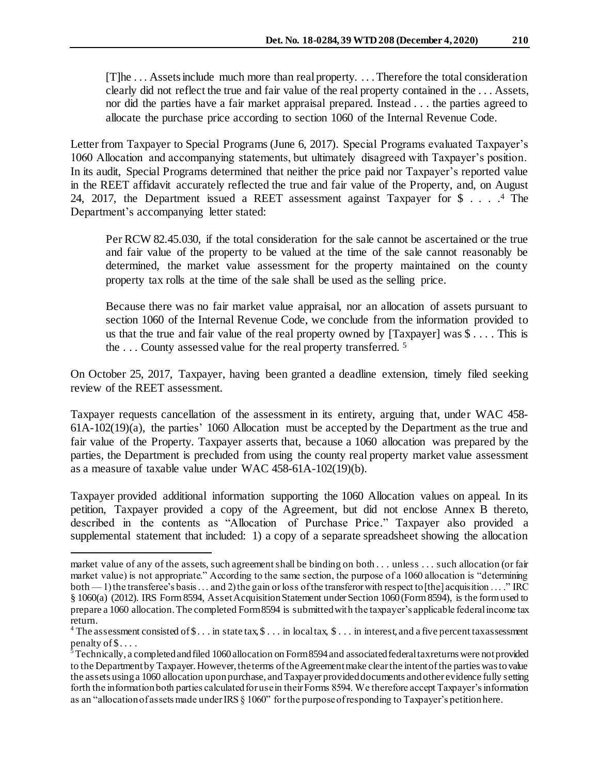[T]he . . . Assets include much more than real property. . . . Therefore the total consideration clearly did not reflect the true and fair value of the real property contained in the . . . Assets, nor did the parties have a fair market appraisal prepared. Instead . . . the parties agreed to allocate the purchase price according to section 1060 of the Internal Revenue Code.

Letter from Taxpayer to Special Programs (June 6, 2017). Special Programs evaluated Taxpayer's 1060 Allocation and accompanying statements, but ultimately disagreed with Taxpayer's position. In its audit, Special Programs determined that neither the price paid nor Taxpayer's reported value in the REET affidavit accurately reflected the true and fair value of the Property, and, on August 24, 2017, the Department issued a REET assessment against Taxpayer for \$ . . . . <sup>4</sup> The Department's accompanying letter stated:

Per RCW 82.45.030, if the total consideration for the sale cannot be ascertained or the true and fair value of the property to be valued at the time of the sale cannot reasonably be determined, the market value assessment for the property maintained on the county property tax rolls at the time of the sale shall be used as the selling price.

Because there was no fair market value appraisal, nor an allocation of assets pursuant to section 1060 of the Internal Revenue Code, we conclude from the information provided to us that the true and fair value of the real property owned by [Taxpayer] was  $\mathcal{S} \dots$ . This is the . . . County assessed value for the real property transferred. <sup>5</sup>

On October 25, 2017, Taxpayer, having been granted a deadline extension, timely filed seeking review of the REET assessment.

Taxpayer requests cancellation of the assessment in its entirety, arguing that, under WAC 458- 61A-102(19)(a), the parties' 1060 Allocation must be accepted by the Department as the true and fair value of the Property. Taxpayer asserts that, because a 1060 allocation was prepared by the parties, the Department is precluded from using the county real property market value assessment as a measure of taxable value under WAC 458-61A-102(19)(b).

Taxpayer provided additional information supporting the 1060 Allocation values on appeal. In its petition, Taxpayer provided a copy of the Agreement, but did not enclose Annex B thereto, described in the contents as "Allocation of Purchase Price." Taxpayer also provided a supplemental statement that included: 1) a copy of a separate spreadsheet showing the allocation

l

market value of any of the assets, such agreement shall be binding on both . . . unless . . . such allocation (or fair market value) is not appropriate." According to the same section, the purpose of a 1060 allocation is "determining both — 1) the transferee's basis . . . and 2) the gain or loss of the transferor with respect to [the] acquisition . . . . " IRC § 1060(a) (2012). IRS Form 8594, Asset Acquisition Statement under Section 1060 (Form 8594), is the form used to prepare a 1060 allocation. The completed Form 8594 is submitted with the taxpayer's applicable federal income tax return.

<sup>&</sup>lt;sup>4</sup> The assessment consisted of  $\$\dots$  in state tax,  $\$\dots$  in local tax,  $\$\dots$  in interest, and a five percent tax assessment penalty of  $\$\dots$ .

 $^{\frac{2}{3}}$  Technically, a completed and filed 1060 allocation on Form 8594 and associated federal tax returns were not provided to the Department by Taxpayer. However, the terms of the Agreement make clear the intent of the parties was to value the assets using a 1060 allocation upon purchase, and Taxpayer provided documents and other evidence fully setting forth the information both parties calculated for use in their Forms 8594. We therefore accept Taxpayer's information as an "allocation of assets made under IRS § 1060" for the purpose of responding to Taxpayer's petition here.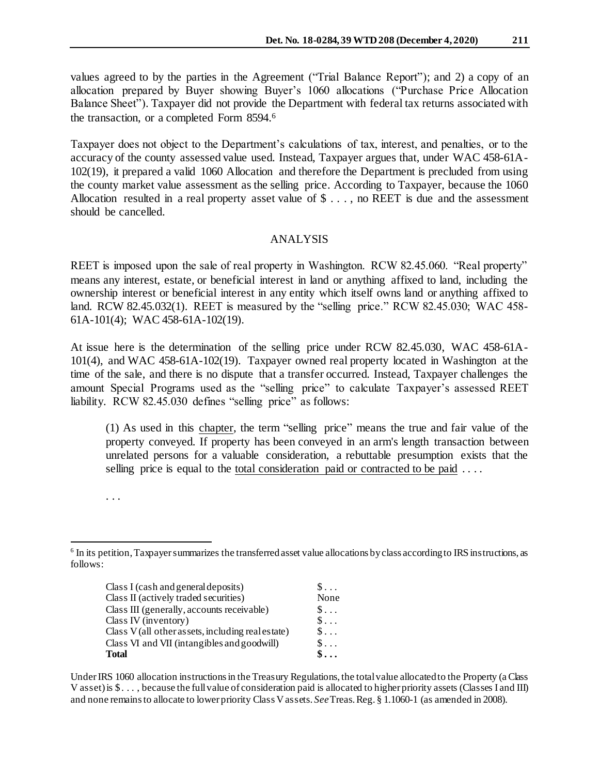values agreed to by the parties in the Agreement ("Trial Balance Report"); and 2) a copy of an allocation prepared by Buyer showing Buyer's 1060 allocations ("Purchase Price Allocation Balance Sheet"). Taxpayer did not provide the Department with federal tax returns associated with the transaction, or a completed Form 8594. 6

Taxpayer does not object to the Department's calculations of tax, interest, and penalties, or to the accuracy of the county assessed value used. Instead, Taxpayer argues that, under WAC 458-61A-102(19), it prepared a valid 1060 Allocation and therefore the Department is precluded from using the county market value assessment as the selling price. According to Taxpayer, because the 1060 Allocation resulted in a real property asset value of \$ . . . , no REET is due and the assessment should be cancelled.

# ANALYSIS

REET is imposed upon the sale of real property in Washington. RCW 82.45.060. "Real property" means any interest, estate, or beneficial interest in land or anything affixed to land, including the ownership interest or beneficial interest in any entity which itself owns land or anything affixed to land. RCW 82.45.032(1). REET is measured by the "selling price." RCW 82.45.030; WAC 458- 61A-101(4); WAC 458-61A-102(19).

At issue here is the determination of the selling price under RCW 82.45.030, WAC 458-61A-101(4), and WAC 458-61A-102(19). Taxpayer owned real property located in Washington at the time of the sale, and there is no dispute that a transfer occurred. Instead, Taxpayer challenges the amount Special Programs used as the "selling price" to calculate Taxpayer's assessed REET liability. RCW 82.45.030 defines "selling price" as follows:

(1) As used in this chapter, the term "selling price" means the true and fair value of the property conveyed. If property has been conveyed in an arm's length transaction between unrelated persons for a valuable consideration, a rebuttable presumption exists that the selling price is equal to the total consideration paid or contracted to be paid ....

. . .

l <sup>6</sup> In its petition, Taxpayer summarizes the transferred asset value allocations by class according to IRS instructions, as follows:

| Class I (cash and general deposits)               | $S \ldots$         |
|---------------------------------------------------|--------------------|
| Class II (actively traded securities)             | None               |
| Class III (generally, accounts receivable)        | $\S$               |
| Class IV (inventory)                              | $S \ldots$         |
| Class V (all other assets, including real estate) | $S \ldots$         |
| Class VI and VII (intangibles and goodwill)       | $S \ldots$         |
| Total                                             | $\hat{\mathbf{s}}$ |

Under IRS 1060 allocation instructions in the Treasury Regulations, the total value allocated to the Property (a Class V asset) is \$. . . , because the full value of consideration paid is allocated to higher priority assets (Classes I and III) and none remainsto allocate to lower priority Class V assets. *See*Treas. Reg. § 1.1060-1 (as amended in 2008).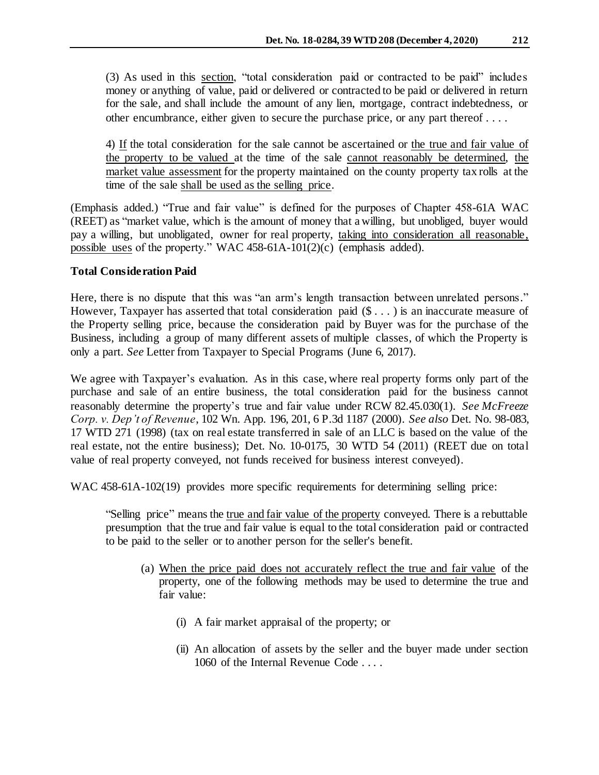(3) As used in this section, "total consideration paid or contracted to be paid" includes money or anything of value, paid or delivered or contracted to be paid or delivered in return for the sale, and shall include the amount of any lien, mortgage, contract indebtedness, or other encumbrance, either given to secure the purchase price, or any part thereof . . . .

4) If the total consideration for the sale cannot be ascertained or the true and fair value of the property to be valued at the time of the sale cannot reasonably be determined, the market value assessment for the property maintained on the county property tax rolls at the time of the sale shall be used as the selling price.

(Emphasis added.) "True and fair value" is defined for the purposes of Chapter 458-61A WAC (REET) as "market value, which is the amount of money that a willing, but unobliged, buyer would pay a willing, but unobligated, owner for real property, taking into consideration all reasonable, possible uses of the property." WAC 458-61A-101(2)(c) (emphasis added).

# **Total Consideration Paid**

Here, there is no dispute that this was "an arm's length transaction between unrelated persons." However, Taxpayer has asserted that total consideration paid (\$ . . . ) is an inaccurate measure of the Property selling price, because the consideration paid by Buyer was for the purchase of the Business, including a group of many different assets of multiple classes, of which the Property is only a part. *See* Letter from Taxpayer to Special Programs (June 6, 2017).

We agree with Taxpayer's evaluation. As in this case, where real property forms only part of the purchase and sale of an entire business, the total consideration paid for the business cannot reasonably determine the property's true and fair value under RCW 82.45.030(1). *See McFreeze Corp. v. Dep't of Revenue*, 102 Wn. App. 196, 201, 6 P.3d 1187 (2000). *See also* Det. No. 98-083, 17 WTD 271 (1998) (tax on real estate transferred in sale of an LLC is based on the value of the real estate, not the entire business); Det. No. 10-0175, 30 WTD 54 (2011) (REET due on total value of real property conveyed, not funds received for business interest conveyed).

WAC 458-61A-102(19) provides more specific requirements for determining selling price:

"Selling price" means the true and fair value of the property conveyed. There is a rebuttable presumption that the true and fair value is equal to the total consideration paid or contracted to be paid to the seller or to another person for the seller's benefit.

- (a) When the price paid does not accurately reflect the true and fair value of the property, one of the following methods may be used to determine the true and fair value:
	- (i) A fair market appraisal of the property; or
	- (ii) An allocation of assets by the seller and the buyer made under section 1060 of the Internal Revenue Code . . . .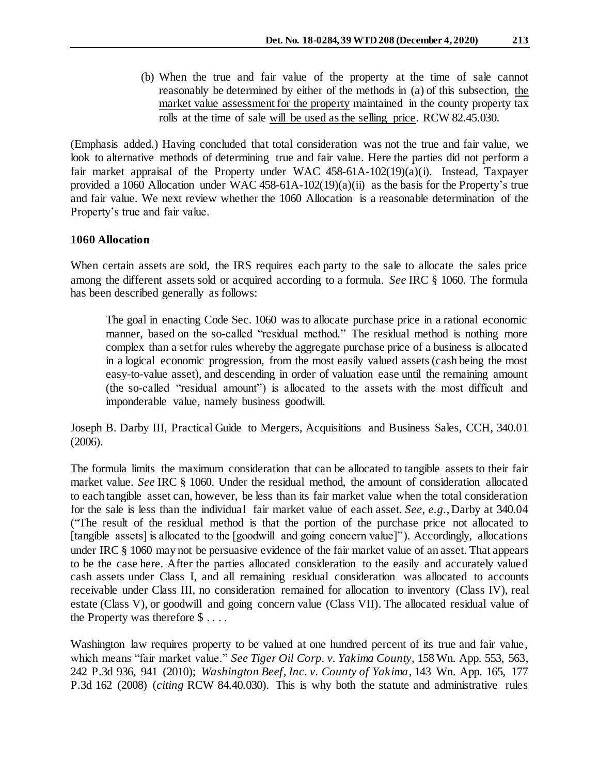(b) When the true and fair value of the property at the time of sale cannot reasonably be determined by either of the methods in (a) of this subsection, the market value assessment for the property maintained in the county property tax rolls at the time of sale will be used as the selling price. RCW 82.45.030.

(Emphasis added.) Having concluded that total consideration was not the true and fair value, we look to alternative methods of determining true and fair value. Here the parties did not perform a fair market appraisal of the Property under WAC 458-61A-102(19)(a)(i). Instead, Taxpayer provided a 1060 Allocation under WAC 458-61A-102(19)(a)(ii) as the basis for the Property's true and fair value. We next review whether the 1060 Allocation is a reasonable determination of the Property's true and fair value.

# **1060 Allocation**

When certain assets are sold, the IRS requires each party to the sale to allocate the sales price among the different assets sold or acquired according to a formula. *See* IRC § 1060. The formula has been described generally as follows:

The goal in enacting Code Sec. 1060 was to allocate purchase price in a rational economic manner, based on the so-called "residual method." The residual method is nothing more complex than a set for rules whereby the aggregate purchase price of a business is allocated in a logical economic progression, from the most easily valued assets (cash being the most easy-to-value asset), and descending in order of valuation ease until the remaining amount (the so-called "residual amount") is allocated to the assets with the most difficult and imponderable value, namely business goodwill.

Joseph B. Darby III, Practical Guide to Mergers, Acquisitions and Business Sales, CCH, 340.01 (2006).

The formula limits the maximum consideration that can be allocated to tangible assets to their fair market value. *See* IRC § 1060. Under the residual method, the amount of consideration allocated to each tangible asset can, however, be less than its fair market value when the total consideration for the sale is less than the individual fair market value of each asset. *See, e.g.*, Darby at 340.04 ("The result of the residual method is that the portion of the purchase price not allocated to [tangible assets] is allocated to the [goodwill and going concern value]"). Accordingly, allocations under IRC § 1060 may not be persuasive evidence of the fair market value of an asset. That appears to be the case here. After the parties allocated consideration to the easily and accurately valued cash assets under Class I, and all remaining residual consideration was allocated to accounts receivable under Class III, no consideration remained for allocation to inventory (Class IV), real estate (Class V), or goodwill and going concern value (Class VII). The allocated residual value of the Property was therefore \$ . . . .

Washington law requires property to be valued at one hundred percent of its true and fair value, which means "fair market value." *See Tiger Oil Corp. v. Yakima County,* 158 Wn. App. 553, 563, 242 P.3d 936, 941 (2010); *Washington Beef, Inc. v. County of Yakima*, 143 Wn. App. 165, 177 P.3d 162 (2008) (*citing* RCW 84.40.030). This is why both the statute and administrative rules